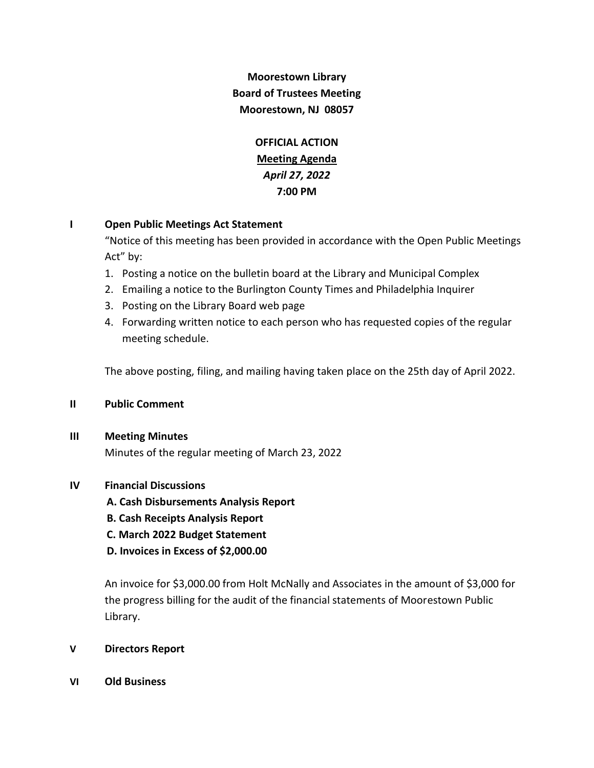# **Moorestown Library Board of Trustees Meeting Moorestown, NJ 08057**

**OFFICIAL ACTION Meeting Agenda** *April 27, 2022* **7:00 PM**

# **I Open Public Meetings Act Statement**

"Notice of this meeting has been provided in accordance with the Open Public Meetings Act" by:

- 1. Posting a notice on the bulletin board at the Library and Municipal Complex
- 2. Emailing a notice to the Burlington County Times and Philadelphia Inquirer
- 3. Posting on the Library Board web page
- 4. Forwarding written notice to each person who has requested copies of the regular meeting schedule.

The above posting, filing, and mailing having taken place on the 25th day of April 2022.

### **II Public Comment**

### **III Meeting Minutes**

Minutes of the regular meeting of March 23, 2022

# **IV Financial Discussions**

 **A. Cash Disbursements Analysis Report**

- **B. Cash Receipts Analysis Report**
- **C. March 2022 Budget Statement**
- **D. Invoices in Excess of \$2,000.00**

An invoice for \$3,000.00 from Holt McNally and Associates in the amount of \$3,000 for the progress billing for the audit of the financial statements of Moorestown Public Library.

### **V Directors Report**

**VI Old Business**